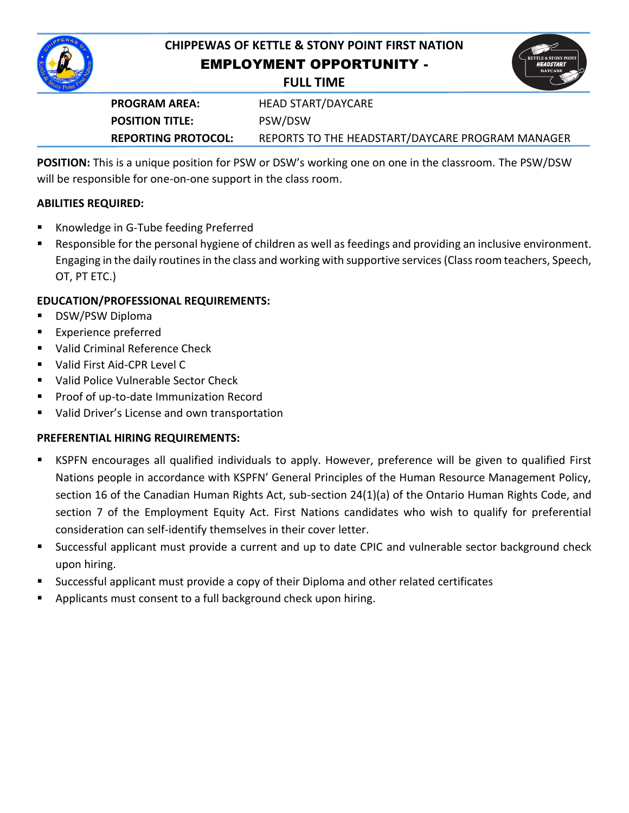

# **CHIPPEWAS OF KETTLE & STONY POINT FIRST NATION** EMPLOYMENT OPPORTUNITY -





**PROGRAM AREA:** HEAD START/DAYCARE **POSITION TITLE:** PSW/DSW **REPORTING PROTOCOL:** REPORTS TO THE HEADSTART/DAYCARE PROGRAM MANAGER

**POSITION:** This is a unique position for PSW or DSW's working one on one in the classroom. The PSW/DSW will be responsible for one-on-one support in the class room.

### **ABILITIES REQUIRED:**

- Knowledge in G-Tube feeding Preferred
- Responsible for the personal hygiene of children as well as feedings and providing an inclusive environment. Engaging in the daily routines in the class and working with supportive services (Class room teachers, Speech, OT, PT ETC.)

# **EDUCATION/PROFESSIONAL REQUIREMENTS:**

- DSW/PSW Diploma
- Experience preferred
- Valid Criminal Reference Check
- Valid First Aid-CPR Level C
- **URIM** Valid Police Vulnerable Sector Check
- **Proof of up-to-date Immunization Record**
- Valid Driver's License and own transportation

## **PREFERENTIAL HIRING REQUIREMENTS:**

- KSPFN encourages all qualified individuals to apply. However, preference will be given to qualified First Nations people in accordance with KSPFN' General Principles of the Human Resource Management Policy, section 16 of the Canadian Human Rights Act, sub-section 24(1)(a) of the Ontario Human Rights Code, and section 7 of the Employment Equity Act. First Nations candidates who wish to qualify for preferential consideration can self-identify themselves in their cover letter.
- Successful applicant must provide a current and up to date CPIC and vulnerable sector background check upon hiring.
- Successful applicant must provide a copy of their Diploma and other related certificates
- Applicants must consent to a full background check upon hiring.